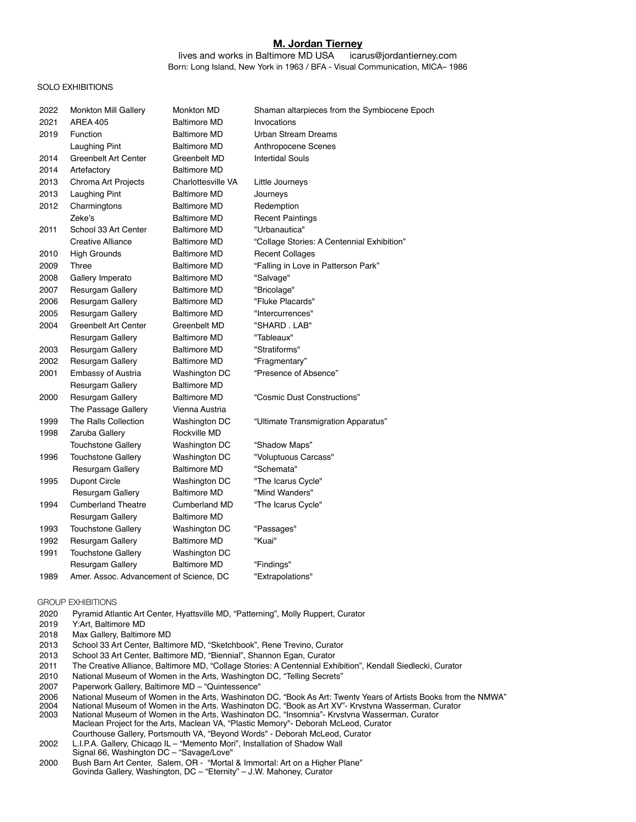# **M. Jordan Tierney**

lives and works in Baltimore MD USA icarus@jordantierney.com Born: Long Island, New York in 1963 / BFA - Visual Communication, MICA– 1986

### SOLO EXHIBITIONS

| 2022 | <b>Monkton Mill Gallery</b>             | Monkton MD           | Shaman altarpieces from the Symbiocene Epoch |
|------|-----------------------------------------|----------------------|----------------------------------------------|
| 2021 | <b>AREA 405</b>                         | <b>Baltimore MD</b>  | Invocations                                  |
| 2019 | Function                                | <b>Baltimore MD</b>  | <b>Urban Stream Dreams</b>                   |
|      | Laughing Pint                           | <b>Baltimore MD</b>  | Anthropocene Scenes                          |
| 2014 | <b>Greenbelt Art Center</b>             | Greenbelt MD         | <b>Intertidal Souls</b>                      |
| 2014 | Artefactory                             | <b>Baltimore MD</b>  |                                              |
| 2013 | Chroma Art Projects                     | Charlottesville VA   | Little Journeys                              |
| 2013 | <b>Laughing Pint</b>                    | <b>Baltimore MD</b>  | Journeys                                     |
| 2012 | Charmingtons                            | <b>Baltimore MD</b>  | Redemption                                   |
|      | Zeke's                                  | <b>Baltimore MD</b>  | <b>Recent Paintings</b>                      |
| 2011 | School 33 Art Center                    | <b>Baltimore MD</b>  | "Urbanautica"                                |
|      | Creative Alliance                       | <b>Baltimore MD</b>  | "Collage Stories: A Centennial Exhibition"   |
| 2010 | <b>High Grounds</b>                     | <b>Baltimore MD</b>  | <b>Recent Collages</b>                       |
| 2009 | Three                                   | <b>Baltimore MD</b>  | "Falling in Love in Patterson Park"          |
| 2008 | Gallery Imperato                        | <b>Baltimore MD</b>  | "Salvage"                                    |
| 2007 | Resurgam Gallery                        | <b>Baltimore MD</b>  | "Bricolage"                                  |
| 2006 | Resurgam Gallery                        | <b>Baltimore MD</b>  | "Fluke Placards"                             |
| 2005 | <b>Resurgam Gallery</b>                 | <b>Baltimore MD</b>  | "Intercurrences"                             |
| 2004 | Greenbelt Art Center                    | Greenbelt MD         | "SHARD . LAB"                                |
|      | Resurgam Gallery                        | <b>Baltimore MD</b>  | "Tableaux"                                   |
| 2003 | Resurgam Gallery                        | <b>Baltimore MD</b>  | "Stratiforms"                                |
| 2002 | Resurgam Gallery                        | <b>Baltimore MD</b>  | "Fragmentary"                                |
| 2001 | Embassy of Austria                      | Washington DC        | "Presence of Absence"                        |
|      | Resurgam Gallery                        | <b>Baltimore MD</b>  |                                              |
| 2000 | Resurgam Gallery                        | <b>Baltimore MD</b>  | "Cosmic Dust Constructions"                  |
|      | The Passage Gallery                     | Vienna Austria       |                                              |
| 1999 | The Ralls Collection                    | Washington DC        | "Ultimate Transmigration Apparatus"          |
| 1998 | Zaruba Gallery                          | Rockville MD         |                                              |
|      | <b>Touchstone Gallery</b>               | Washington DC        | "Shadow Maps"                                |
| 1996 | <b>Touchstone Gallery</b>               | Washington DC        | "Voluptuous Carcass"                         |
|      | Resurgam Gallery                        | <b>Baltimore MD</b>  | "Schemata"                                   |
| 1995 | Dupont Circle                           | Washington DC        | "The Icarus Cycle"                           |
|      | Resurgam Gallery                        | <b>Baltimore MD</b>  | "Mind Wanders"                               |
| 1994 | <b>Cumberland Theatre</b>               | <b>Cumberland MD</b> | "The Icarus Cycle"                           |
|      | Resurgam Gallery                        | <b>Baltimore MD</b>  |                                              |
| 1993 | Touchstone Gallery                      | Washington DC        | "Passages"                                   |
| 1992 | Resurgam Gallery                        | <b>Baltimore MD</b>  | "Kuai"                                       |
| 1991 | <b>Touchstone Gallery</b>               | Washington DC        |                                              |
|      | Resurgam Gallery                        | <b>Baltimore MD</b>  | "Findings"                                   |
| 1989 | Amer. Assoc. Advancement of Science, DC |                      | "Extrapolations"                             |

#### GROUP EXHIBITIONS

- Pyramid Atlantic Art Center, Hyattsville MD, "Patterning", Molly Ruppert, Curator
- Y:Art, Baltimore MD
- Max Gallery, Baltimore MD
- School 33 Art Center, Baltimore MD, "Sketchbook", Rene Trevino, Curator
- School 33 Art Center, Baltimore MD, "Biennial", Shannon Egan, Curator
- The Creative Alliance, Baltimore MD, "Collage Stories: A Centennial Exhibition", Kendall Siedlecki, Curator
- National Museum of Women in the Arts, Washington DC, "Telling Secrets"
- Paperwork Gallery, Baltimore MD "Quintessence"
- National Museum of Women in the Arts, Washington DC, "Book As Art: Twenty Years of Artists Books from the NMWA"
- National Museum of Women in the Arts, Washington DC, "Book as Art XV"- Krystyna Wasserman, Curator
- National Museum of Women in the Arts, Washington DC, "Insomnia"- Krystyna Wasserman, Curator Maclean Project for the Arts, Maclean VA, "Plastic Memory"- Deborah McLeod, Curator Courthouse Gallery, Portsmouth VA, "Beyond Words" - Deborah McLeod, Curator
- L.I.P.A. Gallery, Chicago IL "Memento Mori", Installation of Shadow Wall Signal 66, Washington DC – "Savage/Love"
- Bush Barn Art Center, Salem, OR "Mortal & Immortal: Art on a Higher Plane" Govinda Gallery, Washington, DC – "Eternity" – J.W. Mahoney, Curator